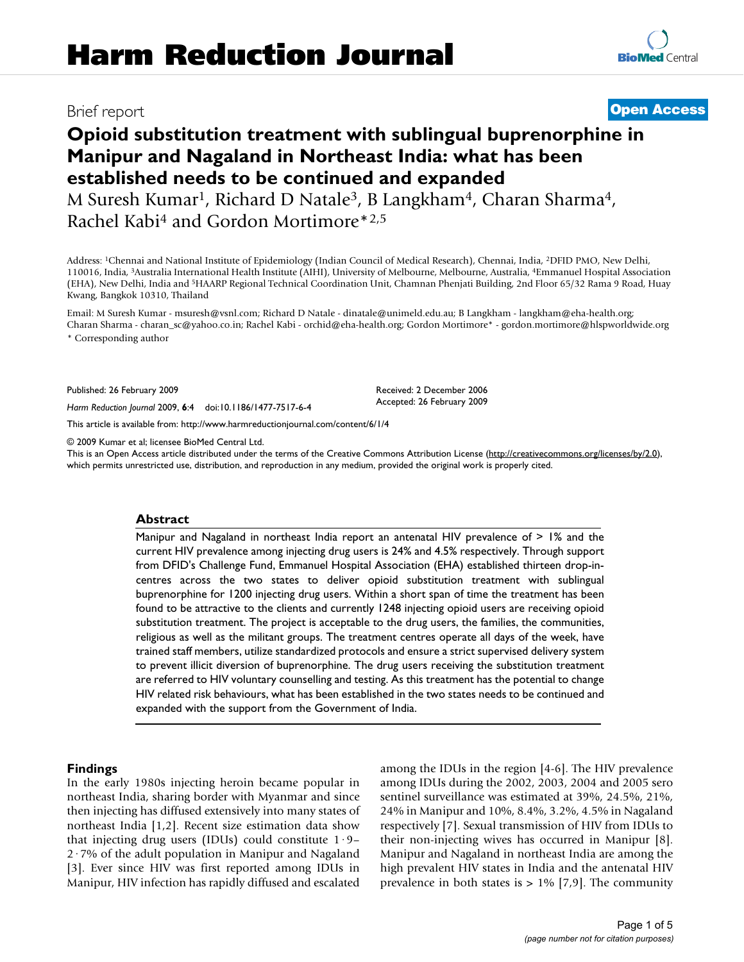# **Opioid substitution treatment with sublingual buprenorphine in Manipur and Nagaland in Northeast India: what has been established needs to be continued and expanded**

M Suresh Kumar<sup>1</sup>, Richard D Natale<sup>3</sup>, B Langkham<sup>4</sup>, Charan Sharma<sup>4</sup>, Rachel Kabi4 and Gordon Mortimore\*2,5

Address: 1Chennai and National Institute of Epidemiology (Indian Council of Medical Research), Chennai, India, 2DFID PMO, New Delhi, 110016, India, 3Australia International Health Institute (AIHI), University of Melbourne, Melbourne, Australia, 4Emmanuel Hospital Association (EHA), New Delhi, India and 5HAARP Regional Technical Coordination Unit, Chamnan Phenjati Building, 2nd Floor 65/32 Rama 9 Road, Huay Kwang, Bangkok 10310, Thailand

Email: M Suresh Kumar - msuresh@vsnl.com; Richard D Natale - dinatale@unimeld.edu.au; B Langkham - langkham@eha-health.org; Charan Sharma - charan\_sc@yahoo.co.in; Rachel Kabi - orchid@eha-health.org; Gordon Mortimore\* - gordon.mortimore@hlspworldwide.org \* Corresponding author

Published: 26 February 2009

*Harm Reduction Journal* 2009, **6**:4 doi:10.1186/1477-7517-6-4

[This article is available from: http://www.harmreductionjournal.com/content/6/1/4](http://www.harmreductionjournal.com/content/6/1/4)

© 2009 Kumar et al; licensee BioMed Central Ltd.

This is an Open Access article distributed under the terms of the Creative Commons Attribution License [\(http://creativecommons.org/licenses/by/2.0\)](http://creativecommons.org/licenses/by/2.0), which permits unrestricted use, distribution, and reproduction in any medium, provided the original work is properly cited.

#### **Abstract**

Manipur and Nagaland in northeast India report an antenatal HIV prevalence of  $> 1\%$  and the current HIV prevalence among injecting drug users is 24% and 4.5% respectively. Through support from DFID's Challenge Fund, Emmanuel Hospital Association (EHA) established thirteen drop-incentres across the two states to deliver opioid substitution treatment with sublingual buprenorphine for 1200 injecting drug users. Within a short span of time the treatment has been found to be attractive to the clients and currently 1248 injecting opioid users are receiving opioid substitution treatment. The project is acceptable to the drug users, the families, the communities, religious as well as the militant groups. The treatment centres operate all days of the week, have trained staff members, utilize standardized protocols and ensure a strict supervised delivery system to prevent illicit diversion of buprenorphine. The drug users receiving the substitution treatment are referred to HIV voluntary counselling and testing. As this treatment has the potential to change HIV related risk behaviours, what has been established in the two states needs to be continued and expanded with the support from the Government of India.

#### **Findings**

In the early 1980s injecting heroin became popular in northeast India, sharing border with Myanmar and since then injecting has diffused extensively into many states of northeast India [1,2]. Recent size estimation data show that injecting drug users (IDUs) could constitute  $1.9-$ 2·7% of the adult population in Manipur and Nagaland [3]. Ever since HIV was first reported among IDUs in Manipur, HIV infection has rapidly diffused and escalated among the IDUs in the region [4-6]. The HIV prevalence among IDUs during the 2002, 2003, 2004 and 2005 sero sentinel surveillance was estimated at 39%, 24.5%, 21%, 24% in Manipur and 10%, 8.4%, 3.2%, 4.5% in Nagaland respectively [7]. Sexual transmission of HIV from IDUs to their non-injecting wives has occurred in Manipur [8]. Manipur and Nagaland in northeast India are among the high prevalent HIV states in India and the antenatal HIV prevalence in both states is  $> 1\%$  [7,9]. The community

## Brief report **[Open Access](http://www.biomedcentral.com/info/about/charter/)**

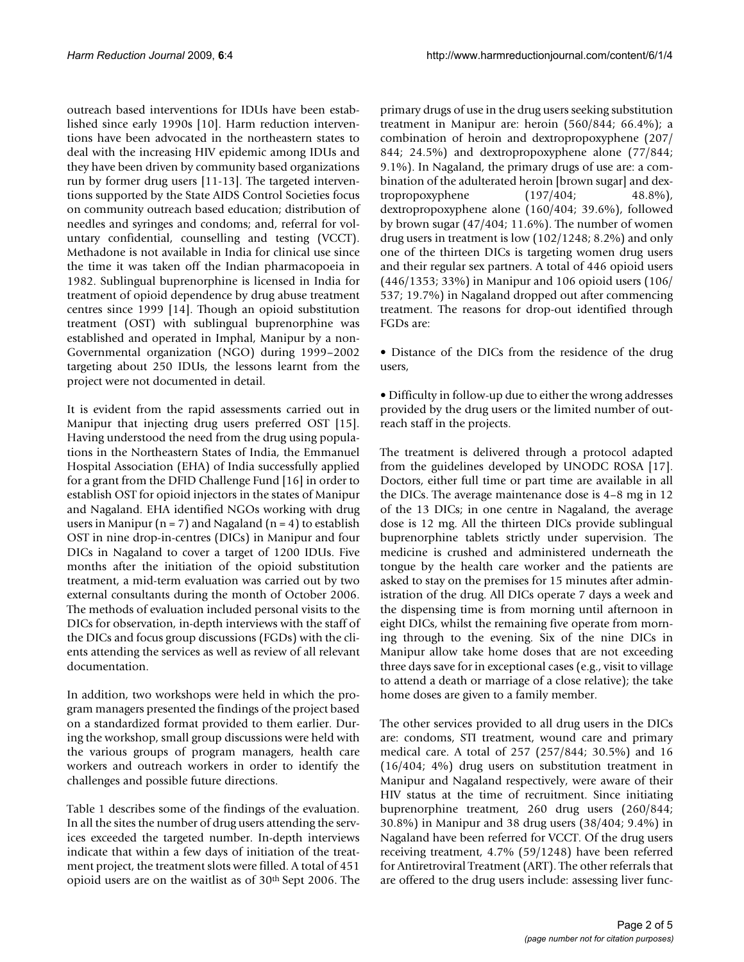outreach based interventions for IDUs have been established since early 1990s [10]. Harm reduction interventions have been advocated in the northeastern states to deal with the increasing HIV epidemic among IDUs and they have been driven by community based organizations run by former drug users [11-13]. The targeted interventions supported by the State AIDS Control Societies focus on community outreach based education; distribution of needles and syringes and condoms; and, referral for voluntary confidential, counselling and testing (VCCT). Methadone is not available in India for clinical use since the time it was taken off the Indian pharmacopoeia in 1982. Sublingual buprenorphine is licensed in India for treatment of opioid dependence by drug abuse treatment centres since 1999 [14]. Though an opioid substitution treatment (OST) with sublingual buprenorphine was established and operated in Imphal, Manipur by a non-Governmental organization (NGO) during 1999–2002 targeting about 250 IDUs, the lessons learnt from the project were not documented in detail.

It is evident from the rapid assessments carried out in Manipur that injecting drug users preferred OST [15]. Having understood the need from the drug using populations in the Northeastern States of India, the Emmanuel Hospital Association (EHA) of India successfully applied for a grant from the DFID Challenge Fund [16] in order to establish OST for opioid injectors in the states of Manipur and Nagaland. EHA identified NGOs working with drug users in Manipur ( $n = 7$ ) and Nagaland ( $n = 4$ ) to establish OST in nine drop-in-centres (DICs) in Manipur and four DICs in Nagaland to cover a target of 1200 IDUs. Five months after the initiation of the opioid substitution treatment, a mid-term evaluation was carried out by two external consultants during the month of October 2006. The methods of evaluation included personal visits to the DICs for observation, in-depth interviews with the staff of the DICs and focus group discussions (FGDs) with the clients attending the services as well as review of all relevant documentation.

In addition, two workshops were held in which the program managers presented the findings of the project based on a standardized format provided to them earlier. During the workshop, small group discussions were held with the various groups of program managers, health care workers and outreach workers in order to identify the challenges and possible future directions.

Table 1 describes some of the findings of the evaluation. In all the sites the number of drug users attending the services exceeded the targeted number. In-depth interviews indicate that within a few days of initiation of the treatment project, the treatment slots were filled. A total of 451 opioid users are on the waitlist as of 30<sup>th</sup> Sept 2006. The primary drugs of use in the drug users seeking substitution treatment in Manipur are: heroin (560/844; 66.4%); a combination of heroin and dextropropoxyphene (207/ 844; 24.5%) and dextropropoxyphene alone (77/844; 9.1%). In Nagaland, the primary drugs of use are: a combination of the adulterated heroin [brown sugar] and dextropropoxyphene (197/404; 48.8%), dextropropoxyphene alone (160/404; 39.6%), followed by brown sugar (47/404; 11.6%). The number of women drug users in treatment is low (102/1248; 8.2%) and only one of the thirteen DICs is targeting women drug users and their regular sex partners. A total of 446 opioid users (446/1353; 33%) in Manipur and 106 opioid users (106/ 537; 19.7%) in Nagaland dropped out after commencing treatment. The reasons for drop-out identified through FGDs are:

• Distance of the DICs from the residence of the drug users,

• Difficulty in follow-up due to either the wrong addresses provided by the drug users or the limited number of outreach staff in the projects.

The treatment is delivered through a protocol adapted from the guidelines developed by UNODC ROSA [17]. Doctors, either full time or part time are available in all the DICs. The average maintenance dose is 4–8 mg in 12 of the 13 DICs; in one centre in Nagaland, the average dose is 12 mg. All the thirteen DICs provide sublingual buprenorphine tablets strictly under supervision. The medicine is crushed and administered underneath the tongue by the health care worker and the patients are asked to stay on the premises for 15 minutes after administration of the drug. All DICs operate 7 days a week and the dispensing time is from morning until afternoon in eight DICs, whilst the remaining five operate from morning through to the evening. Six of the nine DICs in Manipur allow take home doses that are not exceeding three days save for in exceptional cases (e.g., visit to village to attend a death or marriage of a close relative); the take home doses are given to a family member.

The other services provided to all drug users in the DICs are: condoms, STI treatment, wound care and primary medical care. A total of 257 (257/844; 30.5%) and 16 (16/404; 4%) drug users on substitution treatment in Manipur and Nagaland respectively, were aware of their HIV status at the time of recruitment. Since initiating buprenorphine treatment, 260 drug users (260/844; 30.8%) in Manipur and 38 drug users (38/404; 9.4%) in Nagaland have been referred for VCCT. Of the drug users receiving treatment, 4.7% (59/1248) have been referred for Antiretroviral Treatment (ART). The other referrals that are offered to the drug users include: assessing liver func-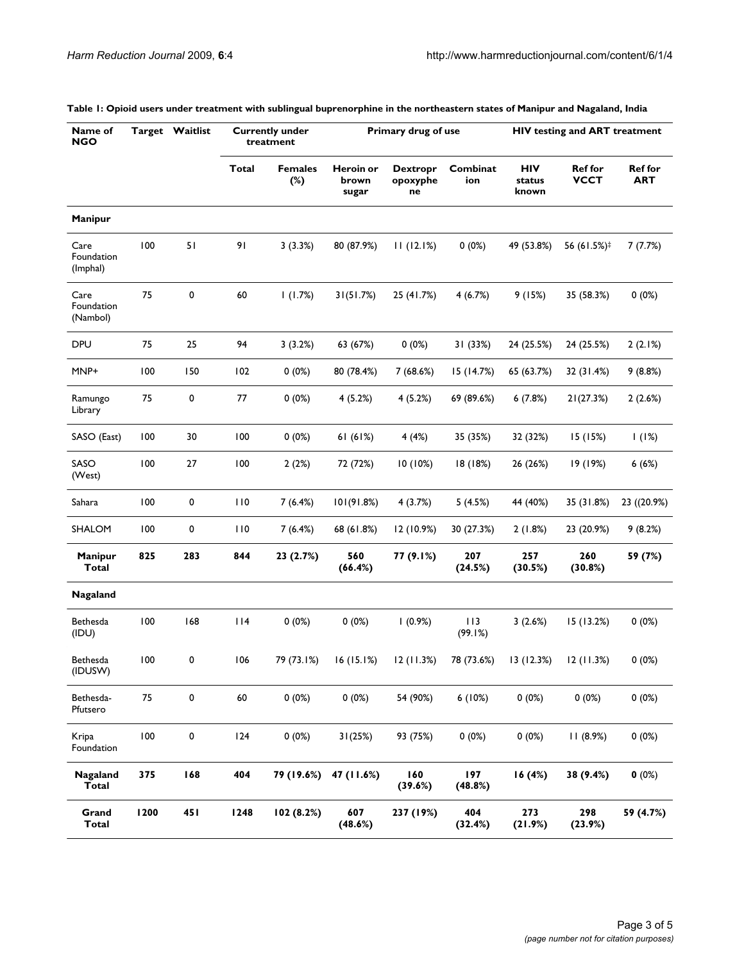| Name of<br><b>NGO</b>          |      | Target Waitlist | <b>Currently under</b><br>treatment |                       | Primary drug of use         |                                   |                 | <b>HIV testing and ART treatment</b> |                               |                              |
|--------------------------------|------|-----------------|-------------------------------------|-----------------------|-----------------------------|-----------------------------------|-----------------|--------------------------------------|-------------------------------|------------------------------|
|                                |      |                 | <b>Total</b>                        | <b>Females</b><br>(%) | Heroin or<br>brown<br>sugar | <b>Dextropr</b><br>opoxyphe<br>ne | Combinat<br>ion | <b>HIV</b><br>status<br>known        | <b>Ref for</b><br><b>VCCT</b> | <b>Ref for</b><br><b>ART</b> |
| Manipur                        |      |                 |                                     |                       |                             |                                   |                 |                                      |                               |                              |
| Care<br>Foundation<br>(Imphal) | 100  | 51              | 91                                  | 3(3.3%)               | 80 (87.9%)                  | 11(12.1%)                         | 0(0%)           | 49 (53.8%)                           | 56 (61.5%) <sup>‡</sup>       | 7(7.7%)                      |
| Care<br>Foundation<br>(Nambol) | 75   | 0               | 60                                  | 1(1.7%)               | 31(51.7%)                   | 25 (41.7%)                        | 4(6.7%)         | 9(15%)                               | 35 (58.3%)                    | 0(0%)                        |
| <b>DPU</b>                     | 75   | 25              | 94                                  | 3(3.2%)               | 63 (67%)                    | 0(0%)                             | 31 (33%)        | 24 (25.5%)                           | 24 (25.5%)                    | 2(2.1%)                      |
| MNP+                           | 100  | 150             | 102                                 | $0(0\%)$              | 80 (78.4%)                  | 7(68.6%)                          | 15 (14.7%)      | 65 (63.7%)                           | 32 (31.4%)                    | 9(8.8%)                      |
| Ramungo<br>Library             | 75   | 0               | 77                                  | $0(0\%)$              | 4(5.2%)                     | 4(5.2%)                           | 69 (89.6%)      | 6(7.8%)                              | 21(27.3%)                     | 2(2.6%)                      |
| SASO (East)                    | 100  | 30              | 100                                 | $0(0\%)$              | 61(61%)                     | 4(4%)                             | 35 (35%)        | 32 (32%)                             | 15 (15%)                      | 1(1%)                        |
| SASO<br>(West)                 | 100  | 27              | 100                                 | 2(2%)                 | 72 (72%)                    | 10 (10%)                          | 18 (18%)        | 26 (26%)                             | 19 (19%)                      | 6(6%)                        |
| Sahara                         | 100  | 0               | 110                                 | 7(6.4%)               | 101(91.8%)                  | 4(3.7%)                           | 5(4.5%)         | 44 (40%)                             | 35 (31.8%)                    | 23 ((20.9%)                  |
| SHALOM                         | 100  | 0               | 110                                 | 7(6.4%)               | 68 (61.8%)                  | 12 (10.9%)                        | 30 (27.3%)      | 2(1.8%)                              | 23 (20.9%)                    | 9(8.2%)                      |
| Manipur<br><b>Total</b>        | 825  | 283             | 844                                 | 23 (2.7%)             | 560<br>(66.4%)              | 77 (9.1%)                         | 207<br>(24.5%)  | 257<br>(30.5%)                       | 260<br>(30.8%)                | 59 (7%)                      |
| Nagaland                       |      |                 |                                     |                       |                             |                                   |                 |                                      |                               |                              |
| Bethesda<br>(IDU)              | 100  | 168             | $ $  4                              | $0(0\%)$              | $0(0\%)$                    | 1(0.9%)                           | 113<br>(99.1%)  | 3(2.6%)                              | 15(13.2%)                     | 0(0%)                        |
| Bethesda<br>(IDUSW)            | 100  | 0               | 106                                 | 79 (73.1%)            | 16(15.1%)                   | 12 (11.3%)                        | 78 (73.6%)      | 13(12.3%)                            | 12 (11.3%)                    | 0(0%)                        |
| Bethesda-<br>Pfutsero          | 75   | 0               | 60                                  | 0(0%)                 | 0(0%)                       | 54 (90%)                          | 6(10%)          | $0(0\%)$                             | $0(0\%)$                      | 0(0%)                        |
| Kripa<br>Foundation            | 100  | 0               | 124                                 | 0(0%)                 | 31(25%)                     | 93 (75%)                          | 0(0%)           | $0(0\%)$                             | 11(8.9%)                      | 0(0%)                        |
| Nagaland<br><b>Total</b>       | 375  | 168             | 404                                 | 79 (19.6%)            | 47 (11.6%)                  | 160<br>(39.6%)                    | 197<br>(48.8%)  | 16(4%)                               | 38 (9.4%)                     | 0(0%)                        |
| Grand<br><b>Total</b>          | 1200 | 451             | 1248                                | 102 (8.2%)            | 607<br>(48.6%)              | 237 (19%)                         | 404<br>(32.4%)  | 273<br>(21.9%)                       | 298<br>(23.9%)                | 59 (4.7%)                    |

#### **Table 1: Opioid users under treatment with sublingual buprenorphine in the northeastern states of Manipur and Nagaland, India**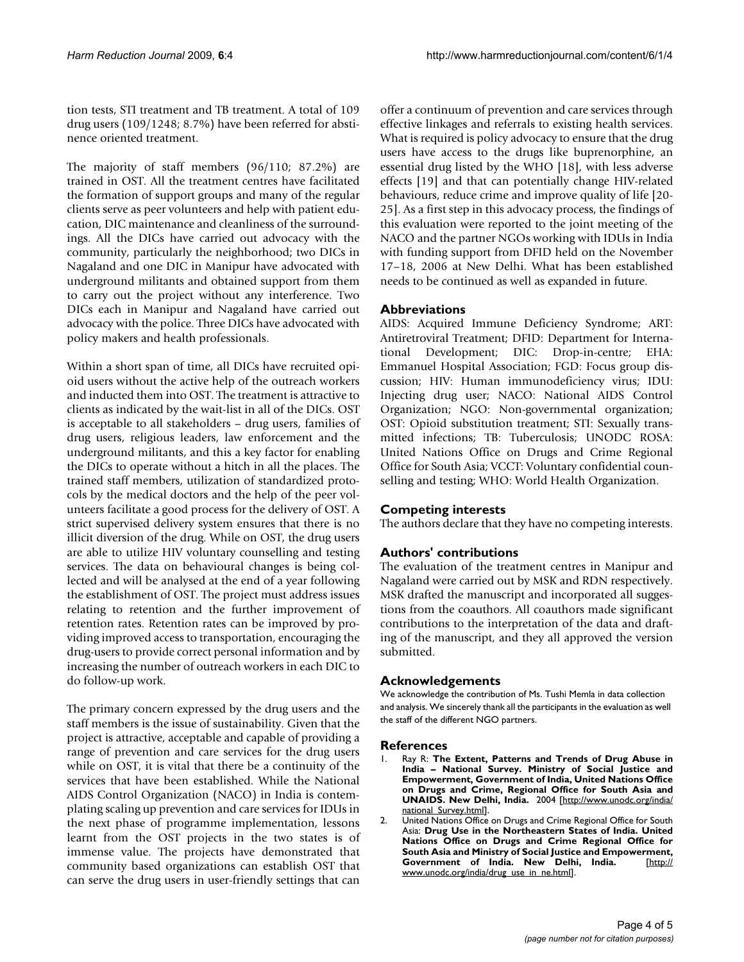tion tests, STI treatment and TB treatment. A total of 109 drug users (109/1248; 8.7%) have been referred for abstinence oriented treatment.

The majority of staff members (96/110; 87.2%) are trained in OST. All the treatment centres have facilitated the formation of support groups and many of the regular clients serve as peer volunteers and help with patient education, DIC maintenance and cleanliness of the surroundings. All the DICs have carried out advocacy with the community, particularly the neighborhood; two DICs in Nagaland and one DIC in Manipur have advocated with underground militants and obtained support from them to carry out the project without any interference. Two DICs each in Manipur and Nagaland have carried out advocacy with the police. Three DICs have advocated with policy makers and health professionals.

Within a short span of time, all DICs have recruited opioid users without the active help of the outreach workers and inducted them into OST. The treatment is attractive to clients as indicated by the wait-list in all of the DICs. OST is acceptable to all stakeholders – drug users, families of drug users, religious leaders, law enforcement and the underground militants, and this a key factor for enabling the DICs to operate without a hitch in all the places. The trained staff members, utilization of standardized protocols by the medical doctors and the help of the peer volunteers facilitate a good process for the delivery of OST. A strict supervised delivery system ensures that there is no illicit diversion of the drug. While on OST, the drug users are able to utilize HIV voluntary counselling and testing services. The data on behavioural changes is being collected and will be analysed at the end of a year following the establishment of OST. The project must address issues relating to retention and the further improvement of retention rates. Retention rates can be improved by providing improved access to transportation, encouraging the drug-users to provide correct personal information and by increasing the number of outreach workers in each DIC to do follow-up work.

The primary concern expressed by the drug users and the staff members is the issue of sustainability. Given that the project is attractive, acceptable and capable of providing a range of prevention and care services for the drug users while on OST, it is vital that there be a continuity of the services that have been established. While the National AIDS Control Organization (NACO) in India is contemplating scaling up prevention and care services for IDUs in the next phase of programme implementation, lessons learnt from the OST projects in the two states is of immense value. The projects have demonstrated that community based organizations can establish OST that can serve the drug users in user-friendly settings that can

offer a continuum of prevention and care services through effective linkages and referrals to existing health services. What is required is policy advocacy to ensure that the drug users have access to the drugs like buprenorphine, an essential drug listed by the WHO [18], with less adverse effects [19] and that can potentially change HIV-related behaviours, reduce crime and improve quality of life [20- 25]. As a first step in this advocacy process, the findings of this evaluation were reported to the joint meeting of the NACO and the partner NGOs working with IDUs in India with funding support from DFID held on the November 17–18, 2006 at New Delhi. What has been established needs to be continued as well as expanded in future.

#### **Abbreviations**

AIDS: Acquired Immune Deficiency Syndrome; ART: Antiretroviral Treatment; DFID: Department for International Development; DIC: Drop-in-centre; EHA: Emmanuel Hospital Association; FGD: Focus group discussion; HIV: Human immunodeficiency virus; IDU: Injecting drug user; NACO: National AIDS Control Organization; NGO: Non-governmental organization; OST: Opioid substitution treatment; STI: Sexually transmitted infections; TB: Tuberculosis; UNODC ROSA: United Nations Office on Drugs and Crime Regional Office for South Asia; VCCT: Voluntary confidential counselling and testing; WHO: World Health Organization.

### **Competing interests**

The authors declare that they have no competing interests.

#### **Authors' contributions**

The evaluation of the treatment centres in Manipur and Nagaland were carried out by MSK and RDN respectively. MSK drafted the manuscript and incorporated all suggestions from the coauthors. All coauthors made significant contributions to the interpretation of the data and drafting of the manuscript, and they all approved the version submitted.

#### **Acknowledgements**

We acknowledge the contribution of Ms. Tushi Memla in data collection and analysis. We sincerely thank all the participants in the evaluation as well the staff of the different NGO partners.

#### **References**

- 1. Ray R: **The Extent, Patterns and Trends of Drug Abuse in India – National Survey. Ministry of Social Justice and Empowerment, Government of India, United Nations Office on Drugs and Crime, Regional Office for South Asia and UNAIDS. New Delhi, India.** 2004 [\[http://www.unodc.org/india/](http://www.unodc.org/india/national_Survey.html) national Survey.html].
- 2. United Nations Office on Drugs and Crime Regional Office for South Asia: **Drug Use in the Northeastern States of India. United Nations Office on Drugs and Crime Regional Office for South Asia and Ministry of Social Justice and Empowerment, Government of India. New Delhi, India.** [\[http://](http://www.unodc.org/india/drug_use_in_ne.html) [www.unodc.org/india/drug\\_use\\_in\\_ne.html\]](http://www.unodc.org/india/drug_use_in_ne.html).